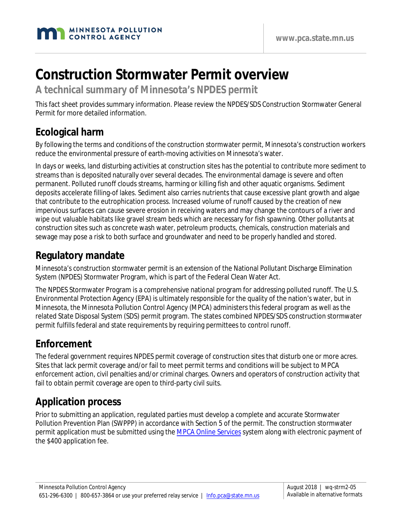

# **Construction Stormwater Permit overview**

**A technical summary of Minnesota's NPDES permit**

This fact sheet provides summary information. Please review the NPDES/SDS Construction Stormwater General Permit for more detailed information.

## **Ecological harm**

By following the terms and conditions of the construction stormwater permit, Minnesota's construction workers reduce the environmental pressure of earth-moving activities on Minnesota's water.

In days or weeks, land disturbing activities at construction sites has the potential to contribute more sediment to streams than is deposited naturally over several decades. The environmental damage is severe and often permanent. Polluted runoff clouds streams, harming or killing fish and other aquatic organisms. Sediment deposits accelerate filling-of lakes. Sediment also carries nutrients that cause excessive plant growth and algae that contribute to the eutrophication process. Increased volume of runoff caused by the creation of new impervious surfaces can cause severe erosion in receiving waters and may change the contours of a river and wipe out valuable habitats like gravel stream beds which are necessary for fish spawning. Other pollutants at construction sites such as concrete wash water, petroleum products, chemicals, construction materials and sewage may pose a risk to both surface and groundwater and need to be properly handled and stored.

# **Regulatory mandate**

Minnesota's construction stormwater permit is an extension of the National Pollutant Discharge Elimination System (NPDES) Stormwater Program, which is part of the Federal Clean Water Act.

The NPDES Stormwater Program is a comprehensive national program for addressing polluted runoff. The U.S. Environmental Protection Agency (EPA) is ultimately responsible for the quality of the nation's water, but in Minnesota, the Minnesota Pollution Control Agency (MPCA) administers this federal program as well as the related State Disposal System (SDS) permit program. The states combined NPDES/SDS construction stormwater permit fulfills federal and state requirements by requiring permittees to control runoff.

# **Enforcement**

The federal government requires NPDES permit coverage of construction sites that disturb one or more acres. Sites that lack permit coverage and/or fail to meet permit terms and conditions will be subject to MPCA enforcement action, civil penalties and/or criminal charges. Owners and operators of construction activity that fail to obtain permit coverage are open to third-party civil suits.

# **Application process**

Prior to submitting an application, regulated parties must develop a complete and accurate Stormwater Pollution Prevention Plan (SWPPP) in accordance with Section 5 of the permit. The construction stormwater permit application must be submitted using the [MPCA Online Services](https://netweb.pca.state.mn.us/private/) system along with electronic payment of the \$400 application fee.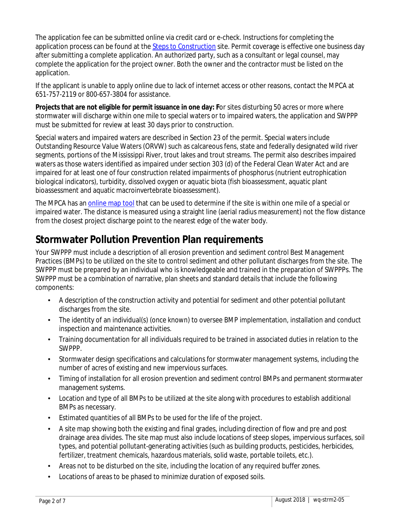The application fee can be submitted online via credit card or e-check. Instructions for completing the application process can be found at the [Steps to Construction](http://www.pca.state.mn.us/index.php/water/water-types-and-programs/stormwater/construction-stormwater/stormwater-steps-to-construction.html) site. Permit coverage is effective one business day after submitting a complete application. An authorized party, such as a consultant or legal counsel, may complete the application for the project owner. Both the owner and the contractor must be listed on the application.

If the applicant is unable to apply online due to lack of internet access or other reasons, contact the MPCA at 651-757-2119 or 800-657-3804 for assistance.

**Projects that are not eligible for permit issuance in one day: F**or sites disturbing 50 acres or more where stormwater will discharge within one mile to special waters or to impaired waters, the application and SWPPP must be submitted for review at least 30 days prior to construction.

Special waters and impaired waters are described in Section 23 of the permit. Special waters include Outstanding Resource Value Waters (ORVW) such as calcareous fens, state and federally designated wild river segments, portions of the Mississippi River, trout lakes and trout streams. The permit also describes impaired waters as those waters identified as impaired under section 303 (d) of the Federal Clean Water Act and are impaired for at least one of four construction related impairments of phosphorus (nutrient eutrophication biological indicators), turbidity, dissolved oxygen or aquatic biota (fish bioassessment, aquatic plant bioassessment and aquatic macroinvertebrate bioassessment).

The MPCA has an [online map tool](http://pca-gis02.pca.state.mn.us/csw/index.html) that can be used to determine if the site is within one mile of a special or impaired water. The distance is measured using a straight line (aerial radius measurement) not the flow distance from the closest project discharge point to the nearest edge of the water body.

### **Stormwater Pollution Prevention Plan requirements**

Your SWPPP must include a description of all erosion prevention and sediment control Best Management Practices (BMPs) to be utilized on the site to control sediment and other pollutant discharges from the site. The SWPPP must be prepared by an individual who is knowledgeable and trained in the preparation of SWPPPs. The SWPPP must be a combination of narrative, plan sheets and standard details that include the following components:

- A description of the construction activity and potential for sediment and other potential pollutant discharges from the site.
- The identity of an individual(s) (once known) to oversee BMP implementation, installation and conduct inspection and maintenance activities.
- Training documentation for all individuals required to be trained in associated duties in relation to the SWPPP.
- Stormwater design specifications and calculations for stormwater management systems, including the number of acres of existing and new impervious surfaces.
- Timing of installation for all erosion prevention and sediment control BMPs and permanent stormwater management systems.
- Location and type of all BMPs to be utilized at the site along with procedures to establish additional BMPs as necessary.
- Estimated quantities of all BMPs to be used for the life of the project.
- A site map showing both the existing and final grades, including direction of flow and pre and post drainage area divides. The site map must also include locations of steep slopes, impervious surfaces, soil types, and potential pollutant-generating activities (such as building products, pesticides, herbicides, fertilizer, treatment chemicals, hazardous materials, solid waste, portable toilets, etc.).
- Areas not to be disturbed on the site, including the location of any required buffer zones.
- Locations of areas to be phased to minimize duration of exposed soils.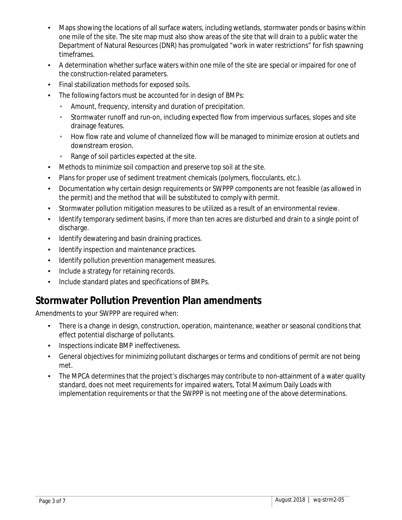- Maps showing the locations of all surface waters, including wetlands, stormwater ponds or basins within one mile of the site. The site map must also show areas of the site that will drain to a public water the Department of Natural Resources (DNR) has promulgated "work in water restrictions" for fish spawning timeframes.
- A determination whether surface waters within one mile of the site are special or impaired for one of the construction-related parameters.
- Final stabilization methods for exposed soils.
- The following factors must be accounted for in design of BMPs:
	- Amount, frequency, intensity and duration of precipitation. k.
	- Stormwater runoff and run-on, including expected flow from impervious surfaces, slopes and site J. drainage features.
	- How flow rate and volume of channelized flow will be managed to minimize erosion at outlets and downstream erosion.
	- Range of soil particles expected at the site. ć,
- Methods to minimize soil compaction and preserve top soil at the site.
- Plans for proper use of sediment treatment chemicals (polymers, flocculants, etc.).
- Documentation why certain design requirements or SWPPP components are not feasible (as allowed in the permit) and the method that will be substituted to comply with permit.
- Stormwater pollution mitigation measures to be utilized as a result of an environmental review.
- Identify temporary sediment basins, if more than ten acres are disturbed and drain to a single point of discharge.
- Identify dewatering and basin draining practices.
- Identify inspection and maintenance practices.
- Identify pollution prevention management measures.
- Include a strategy for retaining records.
- Include standard plates and specifications of BMPs.

# **Stormwater Pollution Prevention Plan amendments**

Amendments to your SWPPP are required when:

- There is a change in design, construction, operation, maintenance, weather or seasonal conditions that effect potential discharge of pollutants.
- Inspections indicate BMP ineffectiveness.
- General objectives for minimizing pollutant discharges or terms and conditions of permit are not being met.
- The MPCA determines that the project's discharges may contribute to non-attainment of a water quality standard, does not meet requirements for impaired waters, Total Maximum Daily Loads with implementation requirements or that the SWPPP is not meeting one of the above determinations.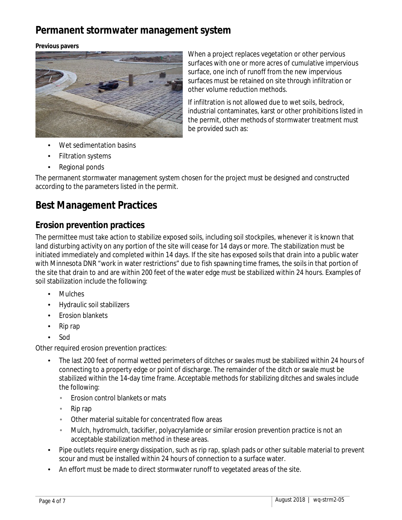## **Permanent stormwater management system**

**Previous pavers** 



When a project replaces vegetation or other pervious surfaces with one or more acres of cumulative impervious surface, one inch of runoff from the new impervious surfaces must be retained on site through infiltration or other volume reduction methods.

If infiltration is not allowed due to wet soils, bedrock, industrial contaminates, karst or other prohibitions listed in the permit, other methods of stormwater treatment must be provided such as:

- Wet sedimentation basins
- Filtration systems
- Regional ponds

The permanent stormwater management system chosen for the project must be designed and constructed according to the parameters listed in the permit.

### **Best Management Practices**

#### **Erosion prevention practices**

The permittee must take action to stabilize exposed soils, including soil stockpiles, whenever it is known that land disturbing activity on any portion of the site will cease for 14 days or more. The stabilization must be initiated immediately and completed within 14 days. If the site has exposed soils that drain into a public water with Minnesota DNR "work in water restrictions" due to fish spawning time frames, the soils in that portion of the site that drain to and are within 200 feet of the water edge must be stabilized within 24 hours. Examples of soil stabilization include the following:

- Mulches
- Hydraulic soil stabilizers
- Erosion blankets
- Rip rap
- Sod

Other required erosion prevention practices:

- The last 200 feet of normal wetted perimeters of ditches or swales must be stabilized within 24 hours of connecting to a property edge or point of discharge. The remainder of the ditch or swale must be stabilized within the 14-day time frame. Acceptable methods for stabilizing ditches and swales include the following:
	- Erosion control blankets or mats J.
	- Rip rap
	- Other material suitable for concentrated flow areas
	- Mulch, hydromulch, tackifier, polyacrylamide or similar erosion prevention practice is not an acceptable stabilization method in these areas.
- Pipe outlets require energy dissipation, such as rip rap, splash pads or other suitable material to prevent scour and must be installed within 24 hours of connection to a surface water.
- An effort must be made to direct stormwater runoff to vegetated areas of the site.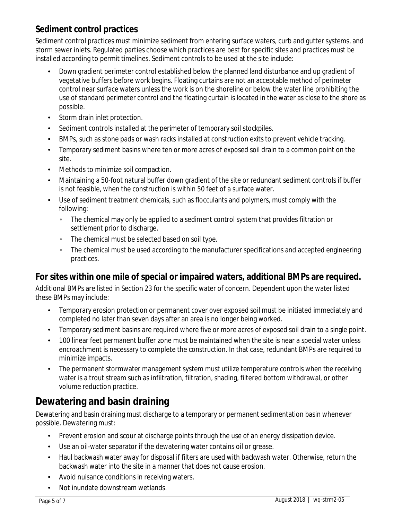#### **Sediment control practices**

Sediment control practices must minimize sediment from entering surface waters, curb and gutter systems, and storm sewer inlets. Regulated parties choose which practices are best for specific sites and practices must be installed according to permit timelines. Sediment controls to be used at the site include:

- Down gradient perimeter control established below the planned land disturbance and up gradient of vegetative buffers before work begins. Floating curtains are not an acceptable method of perimeter control near surface waters unless the work is on the shoreline or below the water line prohibiting the use of standard perimeter control and the floating curtain is located in the water as close to the shore as possible.
- Storm drain inlet protection.
- Sediment controls installed at the perimeter of temporary soil stockpiles.
- BMPs, such as stone pads or wash racks installed at construction exits to prevent vehicle tracking.
- Temporary sediment basins where ten or more acres of exposed soil drain to a common point on the site.
- Methods to minimize soil compaction.
- Maintaining a 50-foot natural buffer down gradient of the site or redundant sediment controls if buffer is not feasible, when the construction is within 50 feet of a surface water.
- Use of sediment treatment chemicals, such as flocculants and polymers, must comply with the following:
	- J. The chemical may only be applied to a sediment control system that provides filtration or settlement prior to discharge.
	- The chemical must be selected based on soil type.
	- The chemical must be used according to the manufacturer specifications and accepted engineering practices.

#### **For sites within one mile of special or impaired waters, additional BMPs are required.**

Additional BMPs are listed in Section 23 for the specific water of concern. Dependent upon the water listed these BMPs may include:

- Temporary erosion protection or permanent cover over exposed soil must be initiated immediately and completed no later than seven days after an area is no longer being worked.
- Temporary sediment basins are required where five or more acres of exposed soil drain to a single point.
- 100 linear feet permanent buffer zone must be maintained when the site is near a special water unless encroachment is necessary to complete the construction. In that case, redundant BMPs are required to minimize impacts.
- The permanent stormwater management system must utilize temperature controls when the receiving water is a trout stream such as infiltration, filtration, shading, filtered bottom withdrawal, or other volume reduction practice.

# **Dewatering and basin draining**

Dewatering and basin draining must discharge to a temporary or permanent sedimentation basin whenever possible. Dewatering must:

- Prevent erosion and scour at discharge points through the use of an energy dissipation device.
- Use an oil-water separator if the dewatering water contains oil or grease.
- Haul backwash water away for disposal if filters are used with backwash water. Otherwise, return the backwash water into the site in a manner that does not cause erosion.
- Avoid nuisance conditions in receiving waters.
- Not inundate downstream wetlands.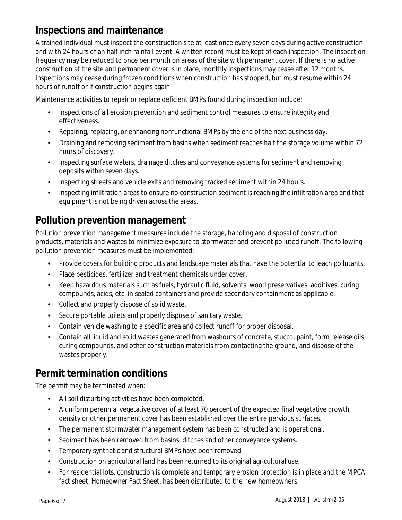# **Inspections and maintenance**

A trained individual must inspect the construction site at least once every seven days during active construction and with 24 hours of an half inch rainfall event. A written record must be kept of each inspection. The inspection frequency may be reduced to once per month on areas of the site with permanent cover. If there is no active construction at the site and permanent cover is in place, monthly inspections may cease after 12 months. Inspections may cease during frozen conditions when construction has stopped, but must resume within 24 hours of runoff or if construction begins again.

Maintenance activities to repair or replace deficient BMPs found during inspection include:

- Inspections of all erosion prevention and sediment control measures to ensure integrity and  $\mathbf{r}$ effectiveness.
- Repairing, replacing, or enhancing nonfunctional BMPs by the end of the next business day.
- Draining and removing sediment from basins when sediment reaches half the storage volume within 72 hours of discovery.
- Inspecting surface waters, drainage ditches and conveyance systems for sediment and removing deposits within seven days.
- Inspecting streets and vehicle exits and removing tracked sediment within 24 hours.
- Inspecting infiltration areas to ensure no construction sediment is reaching the infiltration area and that equipment is not being driven across the areas.

# **Pollution prevention management**

Pollution prevention management measures include the storage, handling and disposal of construction products, materials and wastes to minimize exposure to stormwater and prevent polluted runoff. The following pollution prevention measures must be implemented:

- Provide covers for building products and landscape materials that have the potential to leach pollutants.
- Place pesticides, fertilizer and treatment chemicals under cover.
- Keep hazardous materials such as fuels, hydraulic fluid, solvents, wood preservatives, additives, curing compounds, acids, etc. in sealed containers and provide secondary containment as applicable.
- Collect and properly dispose of solid waste.
- Secure portable toilets and properly dispose of sanitary waste.
- Contain vehicle washing to a specific area and collect runoff for proper disposal.
- Contain all liquid and solid wastes generated from washouts of concrete, stucco, paint, form release oils, curing compounds, and other construction materials from contacting the ground, and dispose of the wastes properly.

# **Permit termination conditions**

The permit may be terminated when:

- All soil disturbing activities have been completed.
- A uniform perennial vegetative cover of at least 70 percent of the expected final vegetative growth density or other permanent cover has been established over the entire pervious surfaces.
- The permanent stormwater management system has been constructed and is operational.
- Sediment has been removed from basins, ditches and other conveyance systems.
- Temporary synthetic and structural BMPs have been removed.
- Construction on agricultural land has been returned to its original agricultural use.
- For residential lots, construction is complete and temporary erosion protection is in place and the MPCA fact sheet, *Homeowner Fact Sheet*, has been distributed to the new homeowners.